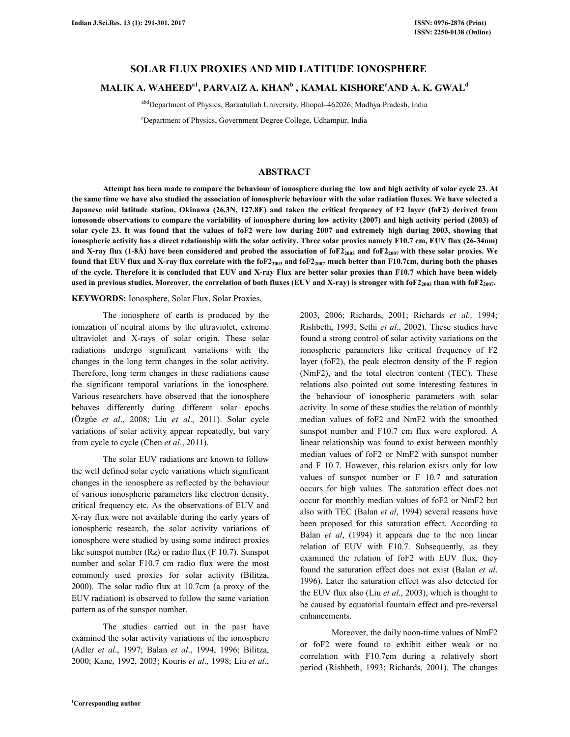## **SOLAR FLUX PROXIES AND MID LATITUDE IONOSPHERE**

# **MALIK A. WAHEEDa1, PARVAIZ A. KHAN<sup>b</sup> , KAMAL KISHORE<sup>c</sup>AND A. K. GWAL<sup>d</sup>**

abdDepartment of Physics, Barkatullah University, Bhopal-462026, Madhya Pradesh, India

<sup>c</sup>Department of Physics, Government Degree College, Udhampur, India

#### **ABSTRACT**

 **Attempt has been made to compare the behaviour of ionosphere during the low and high activity of solar cycle 23. At the same time we have also studied the association of ionospheric behaviour with the solar radiation fluxes. We have selected a Japanese mid latitude station, Okinawa (26.3N, 127.8E) and taken the critical frequency of F2 layer (foF2) derived from ionosonde observations to compare the variability of ionosphere during low activity (2007) and high activity period (2003) of solar cycle 23. It was found that the values of foF2 were low during 2007 and extremely high during 2003, showing that ionospheric activity has a direct relationship with the solar activity. Three solar proxies namely F10.7 cm, EUV flux (26-34nm) and X-ray flux (1-8Å) have been considered and probed the association of foF22003 and foF22007 with these solar proxies. We found that EUV flux and X-ray flux correlate with the foF22003 and foF22007 much better than F10.7cm, during both the phases of the cycle. Therefore it is concluded that EUV and X-ray Flux are better solar proxies than F10.7 which have been widely**  used in previous studies. Moreover, the correlation of both fluxes (EUV and X-ray) is stronger with foF2<sub>2003</sub> than with foF2<sub>2007</sub>.

#### **KEYWORDS:** Ionosphere, Solar Flux, Solar Proxies.

 The ionosphere of earth is produced by the ionization of neutral atoms by the ultraviolet, extreme ultraviolet and X-rays of solar origin. These solar radiations undergo significant variations with the changes in the long term changes in the solar activity. Therefore, long term changes in these radiations cause the significant temporal variations in the ionosphere. Various researchers have observed that the ionosphere behaves differently during different solar epochs (Özgüe *et al*., 2008; Liu *et al*., 2011). Solar cycle variations of solar activity appear repeatedly, but vary from cycle to cycle (Chen *et al*., 2011).

 The solar EUV radiations are known to follow the well defined solar cycle variations which significant changes in the ionosphere as reflected by the behaviour of various ionospheric parameters like electron density, critical frequency etc. As the observations of EUV and X-ray flux were not available during the early years of ionospheric research, the solar activity variations of ionosphere were studied by using some indirect proxies like sunspot number (Rz) or radio flux (F 10.7). Sunspot number and solar F10.7 cm radio flux were the most commonly used proxies for solar activity (Bilitza, 2000). The solar radio flux at 10.7cm (a proxy of the EUV radiation) is observed to follow the same variation pattern as of the sunspot number.

 The studies carried out in the past have examined the solar activity variations of the ionosphere (Adler *et al*., 1997; Balan *et al*., 1994, 1996; Bilitza, 2000; Kane, 1992, 2003; Kouris *et al*., 1998; Liu *et al*., 2003, 2006; Richards, 2001; Richards *et al.,* 1994; Rishbeth, 1993; Sethi *et al*., 2002). These studies have found a strong control of solar activity variations on the ionospheric parameters like critical frequency of F2 layer (foF2), the peak electron density of the F region (NmF2), and the total electron content (TEC). These relations also pointed out some interesting features in the behaviour of ionospheric parameters with solar activity. In some of these studies the relation of monthly median values of foF2 and NmF2 with the smoothed sunspot number and F10.7 cm flux were explored. A linear relationship was found to exist between monthly median values of foF2 or NmF2 with sunspot number and F 10.7. However, this relation exists only for low values of sunspot number or F 10.7 and saturation occurs for high values. The saturation effect does not occur for monthly median values of foF2 or NmF2 but also with TEC (Balan *et al*, 1994) several reasons have been proposed for this saturation effect. According to Balan *et al*, (1994) it appears due to the non linear relation of EUV with F10.7. Subsequently, as they examined the relation of foF2 with EUV flux, they found the saturation effect does not exist (Balan *et al*. 1996). Later the saturation effect was also detected for the EUV flux also (Liu *et al*., 2003), which is thought to be caused by equatorial fountain effect and pre-reversal enhancements.

 Moreover, the daily noon-time values of NmF2 or foF2 were found to exhibit either weak or no correlation with F10.7cm during a relatively short period (Rishbeth, 1993; Richards, 2001). The changes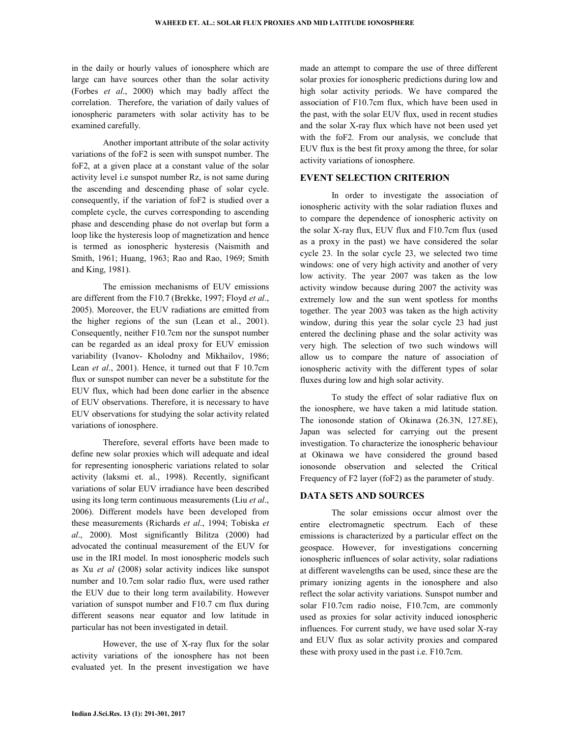in the daily or hourly values of ionosphere which are large can have sources other than the solar activity (Forbes *et al*., 2000) which may badly affect the correlation. Therefore, the variation of daily values of ionospheric parameters with solar activity has to be examined carefully.

 Another important attribute of the solar activity variations of the foF2 is seen with sunspot number. The foF2, at a given place at a constant value of the solar activity level i.e sunspot number Rz, is not same during the ascending and descending phase of solar cycle. consequently, if the variation of foF2 is studied over a complete cycle, the curves corresponding to ascending phase and descending phase do not overlap but form a loop like the hysteresis loop of magnetization and hence is termed as ionospheric hysteresis (Naismith and Smith, 1961; Huang, 1963; Rao and Rao, 1969; Smith and King, 1981).

 The emission mechanisms of EUV emissions are different from the F10.7 (Brekke, 1997; Floyd *et al*., 2005). Moreover, the EUV radiations are emitted from the higher regions of the sun (Lean et al., 2001). Consequently, neither F10.7cm nor the sunspot number can be regarded as an ideal proxy for EUV emission variability (Ivanov- Kholodny and Mikhailov, 1986; Lean *et al.*, 2001). Hence, it turned out that F 10.7cm flux or sunspot number can never be a substitute for the EUV flux, which had been done earlier in the absence of EUV observations. Therefore, it is necessary to have EUV observations for studying the solar activity related variations of ionosphere.

 Therefore, several efforts have been made to define new solar proxies which will adequate and ideal for representing ionospheric variations related to solar activity (laksmi et. al., 1998). Recently, significant variations of solar EUV irradiance have been described using its long term continuous measurements (Liu *et al*., 2006). Different models have been developed from these measurements (Richards *et al*., 1994; Tobiska *et al*., 2000). Most significantly Bilitza (2000) had advocated the continual measurement of the EUV for use in the IRI model. In most ionospheric models such as Xu *et al* (2008) solar activity indices like sunspot number and 10.7cm solar radio flux, were used rather the EUV due to their long term availability. However variation of sunspot number and F10.7 cm flux during different seasons near equator and low latitude in particular has not been investigated in detail.

 However, the use of X-ray flux for the solar activity variations of the ionosphere has not been evaluated yet. In the present investigation we have

made an attempt to compare the use of three different solar proxies for ionospheric predictions during low and high solar activity periods. We have compared the association of F10.7cm flux, which have been used in the past, with the solar EUV flux, used in recent studies and the solar X-ray flux which have not been used yet with the foF2. From our analysis, we conclude that EUV flux is the best fit proxy among the three, for solar activity variations of ionosphere.

#### **EVENT SELECTION CRITERION**

 In order to investigate the association of ionospheric activity with the solar radiation fluxes and to compare the dependence of ionospheric activity on the solar X-ray flux, EUV flux and F10.7cm flux (used as a proxy in the past) we have considered the solar cycle 23. In the solar cycle 23, we selected two time windows: one of very high activity and another of very low activity. The year 2007 was taken as the low activity window because during 2007 the activity was extremely low and the sun went spotless for months together. The year 2003 was taken as the high activity window, during this year the solar cycle 23 had just entered the declining phase and the solar activity was very high. The selection of two such windows will allow us to compare the nature of association of ionospheric activity with the different types of solar fluxes during low and high solar activity.

 To study the effect of solar radiative flux on the ionosphere, we have taken a mid latitude station. The ionosonde station of Okinawa (26.3N, 127.8E), Japan was selected for carrying out the present investigation. To characterize the ionospheric behaviour at Okinawa we have considered the ground based ionosonde observation and selected the Critical Frequency of F2 layer (foF2) as the parameter of study.

## **DATA SETS AND SOURCES**

 The solar emissions occur almost over the entire electromagnetic spectrum. Each of these emissions is characterized by a particular effect on the geospace. However, for investigations concerning ionospheric influences of solar activity, solar radiations at different wavelengths can be used, since these are the primary ionizing agents in the ionosphere and also reflect the solar activity variations. Sunspot number and solar F10.7cm radio noise, F10.7cm, are commonly used as proxies for solar activity induced ionospheric influences. For current study, we have used solar X-ray and EUV flux as solar activity proxies and compared these with proxy used in the past i.e. F10.7cm.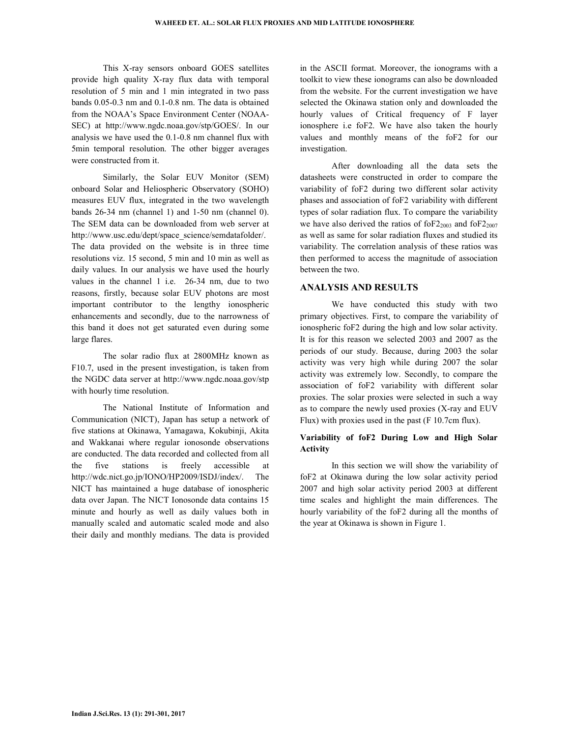This X-ray sensors onboard GOES satellites provide high quality X-ray flux data with temporal resolution of 5 min and 1 min integrated in two pass bands 0.05-0.3 nm and 0.1-0.8 nm. The data is obtained from the NOAA's Space Environment Center (NOAA-SEC) at http://www.ngdc.noaa.gov/stp/GOES/. In our analysis we have used the 0.1-0.8 nm channel flux with 5min temporal resolution. The other bigger averages were constructed from it.

 Similarly, the Solar EUV Monitor (SEM) onboard Solar and Heliospheric Observatory (SOHO) measures EUV flux, integrated in the two wavelength bands 26-34 nm (channel 1) and 1-50 nm (channel 0). The SEM data can be downloaded from web server at http://www.usc.edu/dept/space\_science/semdatafolder/. The data provided on the website is in three time resolutions viz. 15 second, 5 min and 10 min as well as daily values. In our analysis we have used the hourly values in the channel 1 i.e. 26-34 nm, due to two reasons, firstly, because solar EUV photons are most important contributor to the lengthy ionospheric enhancements and secondly, due to the narrowness of this band it does not get saturated even during some large flares.

 The solar radio flux at 2800MHz known as F10.7, used in the present investigation, is taken from the NGDC data server at http://www.ngdc.noaa.gov/stp with hourly time resolution.

 The National Institute of Information and Communication (NICT), Japan has setup a network of five stations at Okinawa, Yamagawa, Kokubinji, Akita and Wakkanai where regular ionosonde observations are conducted. The data recorded and collected from all the five stations is freely accessible at http://wdc.nict.go.jp/IONO/HP2009/ISDJ/index/. The NICT has maintained a huge database of ionospheric data over Japan. The NICT Ionosonde data contains 15 minute and hourly as well as daily values both in manually scaled and automatic scaled mode and also their daily and monthly medians. The data is provided

in the ASCII format. Moreover, the ionograms with a toolkit to view these ionograms can also be downloaded from the website. For the current investigation we have selected the Okinawa station only and downloaded the hourly values of Critical frequency of F layer ionosphere i.e foF2. We have also taken the hourly values and monthly means of the foF2 for our investigation.

 After downloading all the data sets the datasheets were constructed in order to compare the variability of foF2 during two different solar activity phases and association of foF2 variability with different types of solar radiation flux. To compare the variability we have also derived the ratios of  $6F2_{2003}$  and  $6F2_{2007}$ as well as same for solar radiation fluxes and studied its variability. The correlation analysis of these ratios was then performed to access the magnitude of association between the two.

## **ANALYSIS AND RESULTS**

 We have conducted this study with two primary objectives. First, to compare the variability of ionospheric foF2 during the high and low solar activity. It is for this reason we selected 2003 and 2007 as the periods of our study. Because, during 2003 the solar activity was very high while during 2007 the solar activity was extremely low. Secondly, to compare the association of foF2 variability with different solar proxies. The solar proxies were selected in such a way as to compare the newly used proxies (X-ray and EUV Flux) with proxies used in the past (F 10.7cm flux).

## **Variability of foF2 During Low and High Solar Activity**

 In this section we will show the variability of foF2 at Okinawa during the low solar activity period 2007 and high solar activity period 2003 at different time scales and highlight the main differences. The hourly variability of the foF2 during all the months of the year at Okinawa is shown in Figure 1.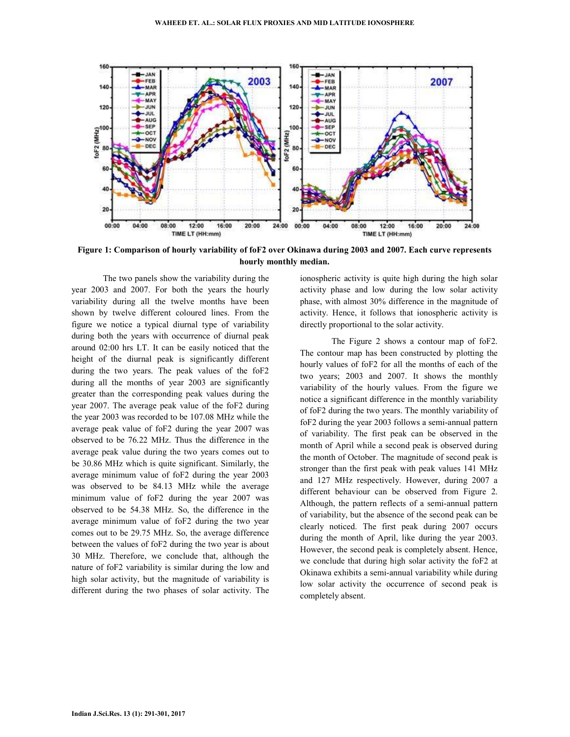

**Figure 1: Comparison of hourly variability of foF2 over Okinawa during 2003 and 2007. Each curve represents hourly monthly median.** 

 The two panels show the variability during the year 2003 and 2007. For both the years the hourly variability during all the twelve months have been shown by twelve different coloured lines. From the figure we notice a typical diurnal type of variability during both the years with occurrence of diurnal peak around 02:00 hrs LT. It can be easily noticed that the height of the diurnal peak is significantly different during the two years. The peak values of the foF2 during all the months of year 2003 are significantly greater than the corresponding peak values during the year 2007. The average peak value of the foF2 during the year 2003 was recorded to be 107.08 MHz while the average peak value of foF2 during the year 2007 was observed to be 76.22 MHz. Thus the difference in the average peak value during the two years comes out to be 30.86 MHz which is quite significant. Similarly, the average minimum value of foF2 during the year 2003 was observed to be 84.13 MHz while the average minimum value of foF2 during the year 2007 was observed to be 54.38 MHz. So, the difference in the average minimum value of foF2 during the two year comes out to be 29.75 MHz. So, the average difference between the values of foF2 during the two year is about 30 MHz. Therefore, we conclude that, although the nature of foF2 variability is similar during the low and high solar activity, but the magnitude of variability is different during the two phases of solar activity. The

ionospheric activity is quite high during the high solar activity phase and low during the low solar activity phase, with almost 30% difference in the magnitude of activity. Hence, it follows that ionospheric activity is directly proportional to the solar activity.

 The Figure 2 shows a contour map of foF2. The contour map has been constructed by plotting the hourly values of foF2 for all the months of each of the two years; 2003 and 2007. It shows the monthly variability of the hourly values. From the figure we notice a significant difference in the monthly variability of foF2 during the two years. The monthly variability of foF2 during the year 2003 follows a semi-annual pattern of variability. The first peak can be observed in the month of April while a second peak is observed during the month of October. The magnitude of second peak is stronger than the first peak with peak values 141 MHz and 127 MHz respectively. However, during 2007 a different behaviour can be observed from Figure 2. Although, the pattern reflects of a semi-annual pattern of variability, but the absence of the second peak can be clearly noticed. The first peak during 2007 occurs during the month of April, like during the year 2003. However, the second peak is completely absent. Hence, we conclude that during high solar activity the foF2 at Okinawa exhibits a semi-annual variability while during low solar activity the occurrence of second peak is completely absent.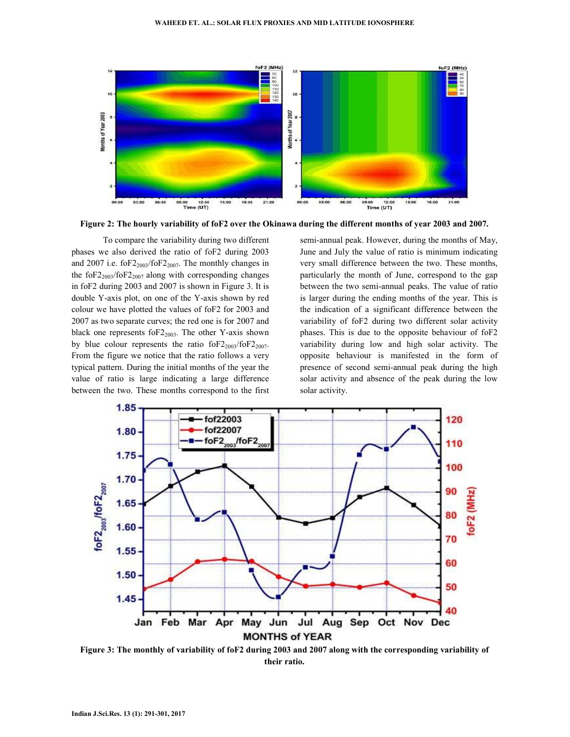

**Figure 2: The hourly variability of foF2 over the Okinawa during the different months of year 2003 and 2007.** 

 To compare the variability during two different phases we also derived the ratio of foF2 during 2003 and 2007 i.e. fo $F2_{2003}/$ fo $F2_{2007}$ . The monthly changes in the fo $F2_{2003}/$ fo $F2_{2007}$  along with corresponding changes in foF2 during 2003 and 2007 is shown in Figure 3. It is double Y-axis plot, on one of the Y-axis shown by red colour we have plotted the values of foF2 for 2003 and 2007 as two separate curves; the red one is for 2007 and black one represents foF2<sub>2003</sub>. The other Y-axis shown by blue colour represents the ratio  $f_0F2_{2003}/f_0F2_{2007}$ . From the figure we notice that the ratio follows a very typical pattern. During the initial months of the year the value of ratio is large indicating a large difference between the two. These months correspond to the first semi-annual peak. However, during the months of May, June and July the value of ratio is minimum indicating very small difference between the two. These months, particularly the month of June, correspond to the gap between the two semi-annual peaks. The value of ratio is larger during the ending months of the year. This is the indication of a significant difference between the variability of foF2 during two different solar activity phases. This is due to the opposite behaviour of foF2 variability during low and high solar activity. The opposite behaviour is manifested in the form of presence of second semi-annual peak during the high solar activity and absence of the peak during the low solar activity.



**Figure 3: The monthly of variability of foF2 during 2003 and 2007 along with the corresponding variability of their ratio.**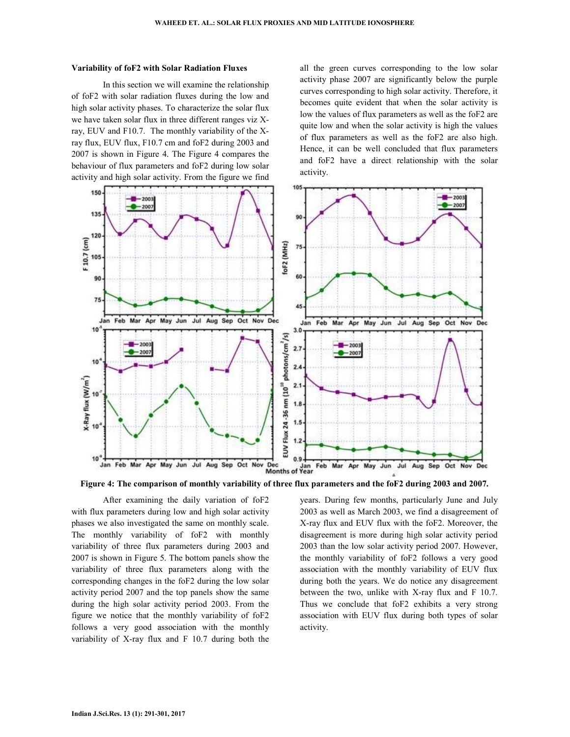#### **Variability of foF2 with Solar Radiation Fluxes**

 In this section we will examine the relationship of foF2 with solar radiation fluxes during the low and high solar activity phases. To characterize the solar flux we have taken solar flux in three different ranges viz Xray, EUV and F10.7. The monthly variability of the Xray flux, EUV flux, F10.7 cm and foF2 during 2003 and 2007 is shown in Figure 4. The Figure 4 compares the behaviour of flux parameters and foF2 during low solar activity and high solar activity. From the figure we find all the green curves corresponding to the low solar activity phase 2007 are significantly below the purple curves corresponding to high solar activity. Therefore, it becomes quite evident that when the solar activity is low the values of flux parameters as well as the foF2 are quite low and when the solar activity is high the values of flux parameters as well as the foF2 are also high. Hence, it can be well concluded that flux parameters and foF2 have a direct relationship with the solar activity.



**Figure 4: The comparison of monthly variability of three flux parameters and the foF2 during 2003 and 2007.** 

 After examining the daily variation of foF2 with flux parameters during low and high solar activity phases we also investigated the same on monthly scale. The monthly variability of foF2 with monthly variability of three flux parameters during 2003 and 2007 is shown in Figure 5. The bottom panels show the variability of three flux parameters along with the corresponding changes in the foF2 during the low solar activity period 2007 and the top panels show the same during the high solar activity period 2003. From the figure we notice that the monthly variability of foF2 follows a very good association with the monthly variability of X-ray flux and F 10.7 during both the years. During few months, particularly June and July 2003 as well as March 2003, we find a disagreement of X-ray flux and EUV flux with the foF2. Moreover, the disagreement is more during high solar activity period 2003 than the low solar activity period 2007. However, the monthly variability of foF2 follows a very good association with the monthly variability of EUV flux during both the years. We do notice any disagreement between the two, unlike with X-ray flux and F 10.7. Thus we conclude that foF2 exhibits a very strong association with EUV flux during both types of solar activity.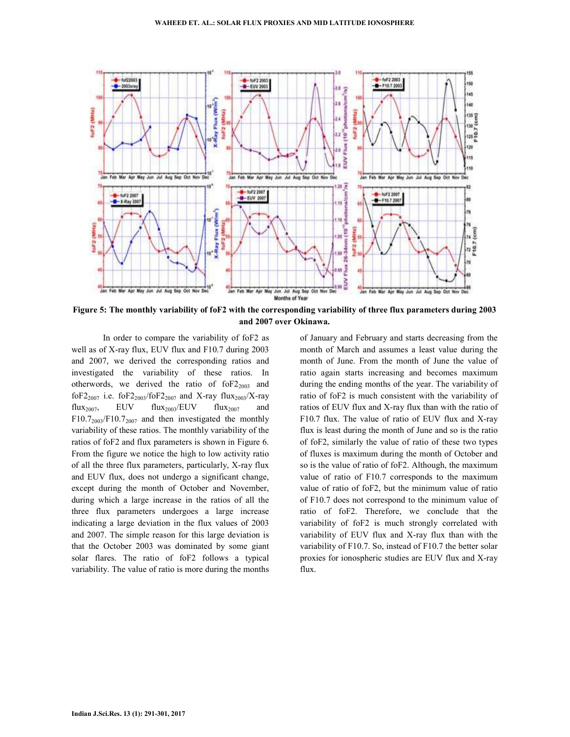

**Figure 5: The monthly variability of foF2 with the corresponding variability of three flux parameters during 2003 and 2007 over Okinawa.** 

 In order to compare the variability of foF2 as well as of X-ray flux, EUV flux and F10.7 during 2003 and 2007, we derived the corresponding ratios and investigated the variability of these ratios. In otherwords, we derived the ratio of  $f_2$ <sub>2003</sub> and foF2<sub>2007</sub> i.e. foF2<sub>2003</sub>/foF2<sub>2007</sub> and X-ray flux<sub>2003</sub>/X-ray flux<sub>2007</sub>, EUV flux<sub>2003</sub>/EUV flux<sub>2007</sub>  $F10.7_{2003}/F10.7_{2007}$  and then investigated the monthly variability of these ratios. The monthly variability of the ratios of foF2 and flux parameters is shown in Figure 6. From the figure we notice the high to low activity ratio of all the three flux parameters, particularly, X-ray flux and EUV flux, does not undergo a significant change, except during the month of October and November, during which a large increase in the ratios of all the three flux parameters undergoes a large increase indicating a large deviation in the flux values of 2003 and 2007. The simple reason for this large deviation is that the October 2003 was dominated by some giant solar flares. The ratio of foF2 follows a typical variability. The value of ratio is more during the months

of January and February and starts decreasing from the month of March and assumes a least value during the month of June. From the month of June the value of ratio again starts increasing and becomes maximum during the ending months of the year. The variability of ratio of foF2 is much consistent with the variability of ratios of EUV flux and X-ray flux than with the ratio of F10.7 flux. The value of ratio of EUV flux and X-ray flux is least during the month of June and so is the ratio of foF2, similarly the value of ratio of these two types of fluxes is maximum during the month of October and so is the value of ratio of foF2. Although, the maximum value of ratio of F10.7 corresponds to the maximum value of ratio of foF2, but the minimum value of ratio of F10.7 does not correspond to the minimum value of ratio of foF2. Therefore, we conclude that the variability of foF2 is much strongly correlated with variability of EUV flux and X-ray flux than with the variability of F10.7. So, instead of F10.7 the better solar proxies for ionospheric studies are EUV flux and X-ray flux.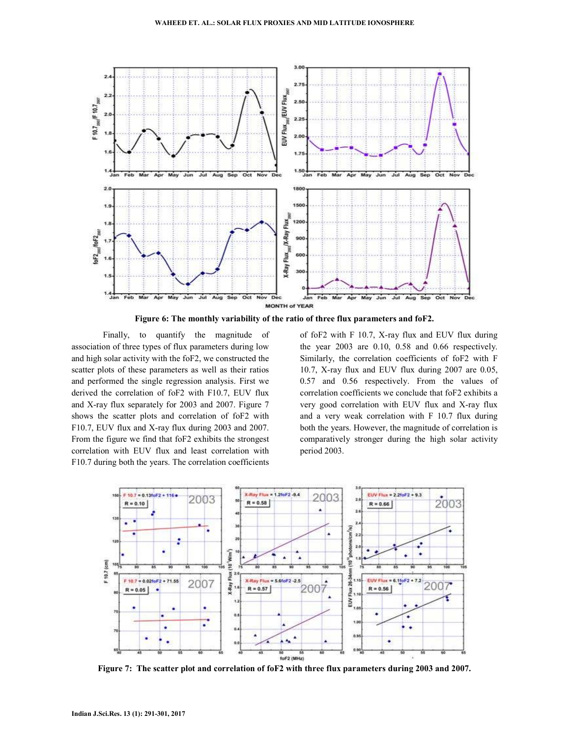

**Figure 6: The monthly variability of the ratio of three flux parameters and foF2.** 

 Finally, to quantify the magnitude of association of three types of flux parameters during low and high solar activity with the foF2, we constructed the scatter plots of these parameters as well as their ratios and performed the single regression analysis. First we derived the correlation of foF2 with F10.7, EUV flux and X-ray flux separately for 2003 and 2007. Figure 7 shows the scatter plots and correlation of foF2 with F10.7, EUV flux and X-ray flux during 2003 and 2007. From the figure we find that foF2 exhibits the strongest correlation with EUV flux and least correlation with F10.7 during both the years. The correlation coefficients

of foF2 with F 10.7, X-ray flux and EUV flux during the year 2003 are 0.10, 0.58 and 0.66 respectively. Similarly, the correlation coefficients of foF2 with F 10.7, X-ray flux and EUV flux during 2007 are 0.05, 0.57 and 0.56 respectively. From the values of correlation coefficients we conclude that foF2 exhibits a very good correlation with EUV flux and X-ray flux and a very weak correlation with F 10.7 flux during both the years. However, the magnitude of correlation is comparatively stronger during the high solar activity period 2003.



**Figure 7: The scatter plot and correlation of foF2 with three flux parameters during 2003 and 2007.**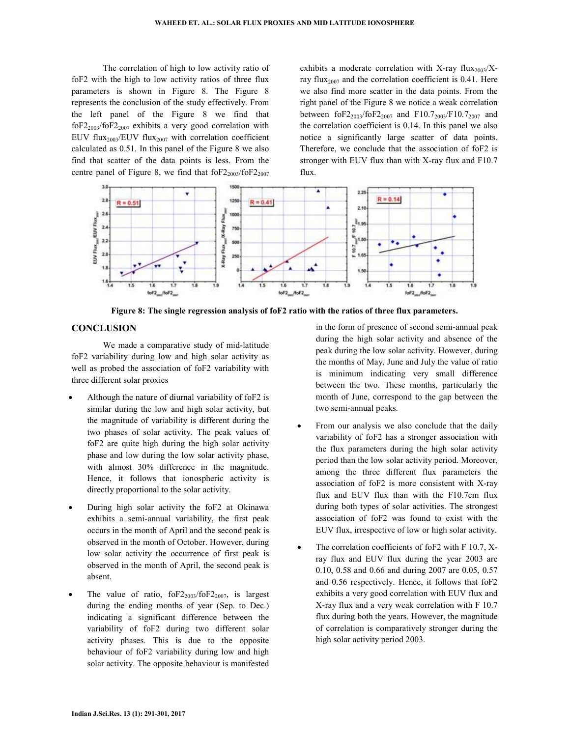The correlation of high to low activity ratio of foF2 with the high to low activity ratios of three flux parameters is shown in Figure 8. The Figure 8 represents the conclusion of the study effectively. From the left panel of the Figure 8 we find that  $f_0F_{2003}/f_0F_{2007}$  exhibits a very good correlation with EUV flux<sub>2003</sub>/EUV flux<sub>2007</sub> with correlation coefficient calculated as 0.51. In this panel of the Figure 8 we also find that scatter of the data points is less. From the centre panel of Figure 8, we find that  $f_0F2_{2003}/f_0F2_{2007}$ 

exhibits a moderate correlation with X-ray flux<sub>2003</sub>/Xray flux<sub>2007</sub> and the correlation coefficient is  $0.41$ . Here we also find more scatter in the data points. From the right panel of the Figure 8 we notice a weak correlation between foF2<sub>2003</sub>/foF2<sub>2007</sub> and F10.7<sub>2003</sub>/F10.7<sub>2007</sub> and the correlation coefficient is 0.14. In this panel we also notice a significantly large scatter of data points. Therefore, we conclude that the association of foF2 is stronger with EUV flux than with X-ray flux and F10.7 flux.



**Figure 8: The single regression analysis of foF2 ratio with the ratios of three flux parameters.** 

#### **CONCLUSION**

 We made a comparative study of mid-latitude foF2 variability during low and high solar activity as well as probed the association of foF2 variability with three different solar proxies

- Although the nature of diurnal variability of foF2 is similar during the low and high solar activity, but the magnitude of variability is different during the two phases of solar activity. The peak values of foF2 are quite high during the high solar activity phase and low during the low solar activity phase, with almost 30% difference in the magnitude. Hence, it follows that ionospheric activity is directly proportional to the solar activity.
- During high solar activity the foF2 at Okinawa exhibits a semi-annual variability, the first peak occurs in the month of April and the second peak is observed in the month of October. However, during low solar activity the occurrence of first peak is observed in the month of April, the second peak is absent.
- The value of ratio,  $16F2_{2003}/16F2_{2007}$ , is largest during the ending months of year (Sep. to Dec.) indicating a significant difference between the variability of foF2 during two different solar activity phases. This is due to the opposite behaviour of foF2 variability during low and high solar activity. The opposite behaviour is manifested

in the form of presence of second semi-annual peak during the high solar activity and absence of the peak during the low solar activity. However, during the months of May, June and July the value of ratio is minimum indicating very small difference between the two. These months, particularly the month of June, correspond to the gap between the two semi-annual peaks.

- From our analysis we also conclude that the daily variability of foF2 has a stronger association with the flux parameters during the high solar activity period than the low solar activity period. Moreover, among the three different flux parameters the association of foF2 is more consistent with X-ray flux and EUV flux than with the F10.7cm flux during both types of solar activities. The strongest association of foF2 was found to exist with the EUV flux, irrespective of low or high solar activity.
- The correlation coefficients of foF2 with F 10.7, Xray flux and EUV flux during the year 2003 are 0.10, 0.58 and 0.66 and during 2007 are 0.05, 0.57 and 0.56 respectively. Hence, it follows that foF2 exhibits a very good correlation with EUV flux and X-ray flux and a very weak correlation with F 10.7 flux during both the years. However, the magnitude of correlation is comparatively stronger during the high solar activity period 2003.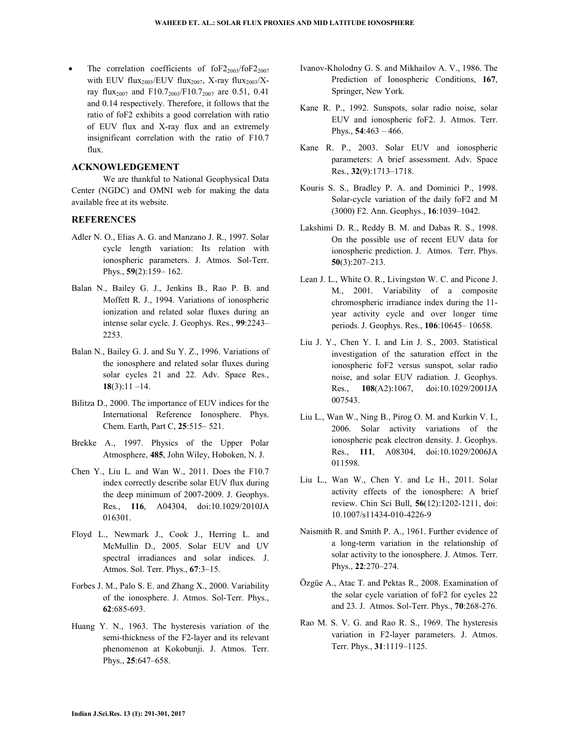The correlation coefficients of  $f_0F2_{2003}/f_0F2_{2007}$ with EUV flux<sub>2003</sub>/EUV flux<sub>2007</sub>, X-ray flux<sub>2003</sub>/Xray flux<sub>2007</sub> and F10.7<sub>2003</sub>/F10.7<sub>2007</sub> are 0.51, 0.41 and 0.14 respectively. Therefore, it follows that the ratio of foF2 exhibits a good correlation with ratio of EUV flux and X-ray flux and an extremely insignificant correlation with the ratio of F10.7 flux.

#### **ACKNOWLEDGEMENT**

We are thankful to National Geophysical Data Center (NGDC) and OMNI web for making the data available free at its website.

## **REFERENCES**

- Adler N. O., Elias A. G. and Manzano J. R., 1997. Solar cycle length variation: Its relation with ionospheric parameters. J. Atmos. Sol-Terr. Phys., **59**(2):159– 162.
- Balan N., Bailey G. J., Jenkins B., Rao P. B. and Moffett R. J., 1994. Variations of ionospheric ionization and related solar fluxes during an intense solar cycle. J. Geophys. Res., **99**:2243– 2253.
- Balan N., Bailey G. J. and Su Y. Z., 1996. Variations of the ionosphere and related solar fluxes during solar cycles 21 and 22. Adv. Space Res., **18**(3):11 –14.
- Bilitza D., 2000. The importance of EUV indices for the International Reference Ionosphere. Phys. Chem. Earth, Part C, **25**:515– 521.
- Brekke A., 1997. Physics of the Upper Polar Atmosphere, **485**, John Wiley, Hoboken, N. J.
- Chen Y., Liu L. and Wan W., 2011. Does the F10.7 index correctly describe solar EUV flux during the deep minimum of 2007-2009. J. Geophys. Res., **116**, A04304, doi:10.1029/2010JA 016301.
- Floyd L., Newmark J., Cook J., Herring L. and McMullin D., 2005. Solar EUV and UV spectral irradiances and solar indices. J. Atmos. Sol. Terr. Phys., **67**:3–15.
- Forbes J. M., Palo S. E. and Zhang X., 2000. Variability of the ionosphere. J. Atmos. Sol-Terr. Phys., **62**:685-693.
- Huang Y. N., 1963. The hysteresis variation of the semi-thickness of the F2-layer and its relevant phenomenon at Kokobunji. J. Atmos. Terr. Phys., **25**:647–658.
- Ivanov-Kholodny G. S. and Mikhailov A. V., 1986. The Prediction of Ionospheric Conditions, **167**, Springer, New York.
- Kane R. P., 1992. Sunspots, solar radio noise, solar EUV and ionospheric foF2. J. Atmos. Terr. Phys., **54**:463 – 466.
- Kane R. P., 2003. Solar EUV and ionospheric parameters: A brief assessment. Adv. Space Res., **32**(9):1713–1718.
- Kouris S. S., Bradley P. A. and Dominici P., 1998. Solar-cycle variation of the daily foF2 and M (3000) F2. Ann. Geophys., **16**:1039–1042.
- Lakshimi D. R., Reddy B. M. and Dabas R. S., 1998. On the possible use of recent EUV data for ionospheric prediction. J. Atmos. Terr. Phys. **50**(3):207–213.
- Lean J. L., White O. R., Livingston W. C. and Picone J. M., 2001. Variability of a composite chromospheric irradiance index during the 11 year activity cycle and over longer time periods. J. Geophys. Res., **106**:10645– 10658.
- Liu J. Y., Chen Y. I. and Lin J. S., 2003. Statistical investigation of the saturation effect in the ionospheric foF2 versus sunspot, solar radio noise, and solar EUV radiation. J. Geophys. Res., **108**(A2):1067, doi:10.1029/2001JA 007543.
- Liu L., Wan W., Ning B., Pirog O. M. and Kurkin V. I., 2006. Solar activity variations of the ionospheric peak electron density. J. Geophys. Res., **111**, A08304, doi:10.1029/2006JA 011598.
- Liu L., Wan W., Chen Y. and Le H., 2011. Solar activity effects of the ionosphere: A brief review. Chin Sci Bull, **56**(12):1202-1211, doi: 10.1007/s11434-010-4226-9
- Naismith R. and Smith P. A., 1961. Further evidence of a long-term variation in the relationship of solar activity to the ionosphere. J. Atmos. Terr. Phys., **22**:270–274.
- Özgüe A., Atac T. and Pektas R., 2008. Examination of the solar cycle variation of foF2 for cycles 22 and 23. J. Atmos. Sol-Terr. Phys., **70**:268-276.
- Rao M. S. V. G. and Rao R. S., 1969. The hysteresis variation in F2-layer parameters. J. Atmos. Terr. Phys., **31**:1119–1125.